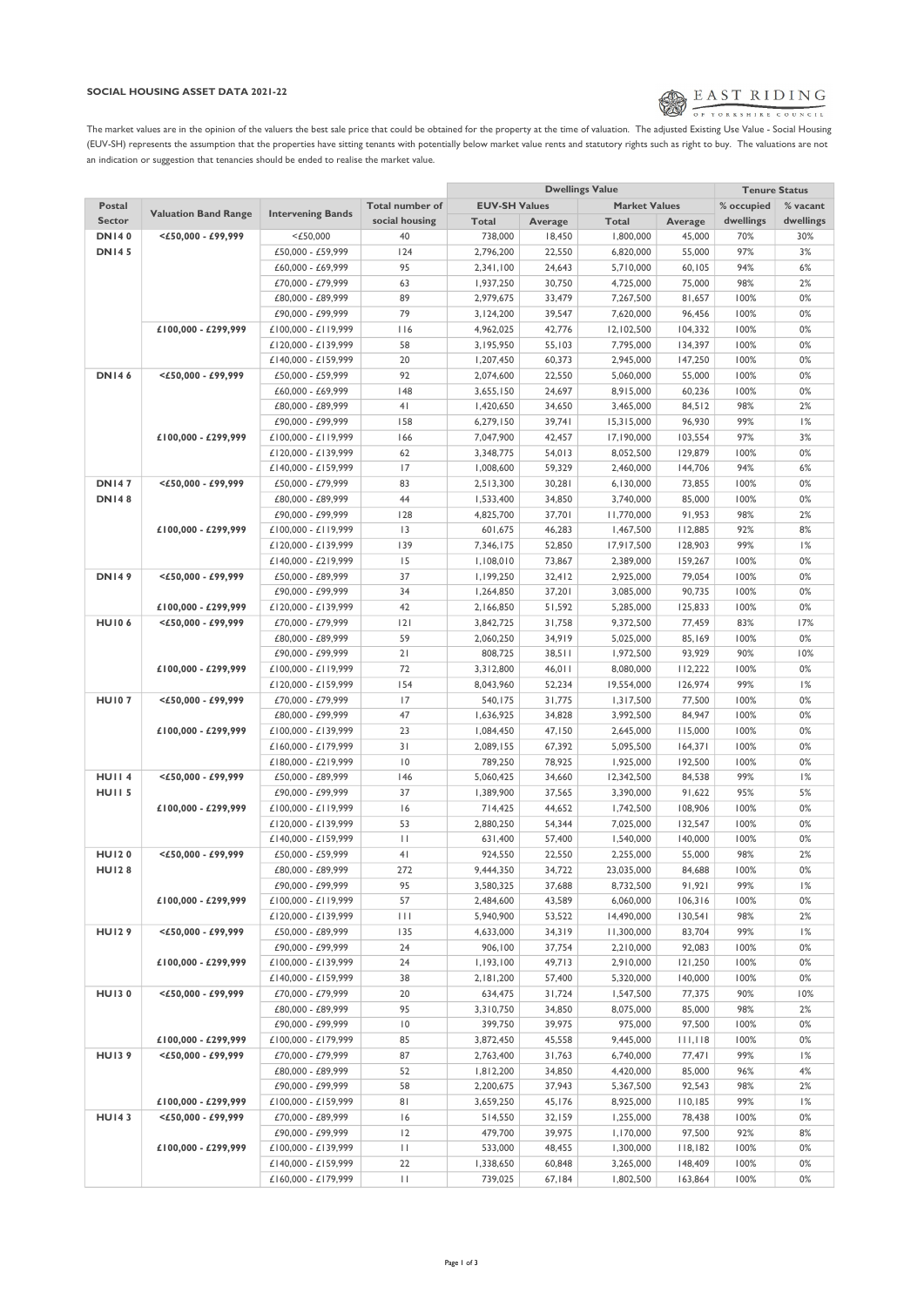## SOCIAL HOUSING ASSET DATA 2021-22



The market values are in the opinion of the valuers the best sale price that could be obtained for the property at the time of valuation. The adjusted Existing Use Value - Social Housing (EUV-SH) represents the assumption that the properties have sitting tenants with potentially below market value rents and statutory rights such as right to buy. The valuations are not an indication or suggestion that tenancies should be ended to realise the market value.

|                   |                             |                          |                 |                      | <b>Dwellings Value</b> | <b>Tenure Status</b> |         |             |           |
|-------------------|-----------------------------|--------------------------|-----------------|----------------------|------------------------|----------------------|---------|-------------|-----------|
| Postal            |                             |                          | Total number of | <b>EUV-SH Values</b> |                        | <b>Market Values</b> |         | % occupied  | % vacant  |
| <b>Sector</b>     | <b>Valuation Band Range</b> | <b>Intervening Bands</b> | social housing  | <b>Total</b>         | <b>Average</b>         | Total                | Average | dwellings   | dwellings |
| <b>DN140</b>      | $<$ £50,000 - £99,999       | $<$ £50,000              | 40              | 738,000              | 18,450                 | 1,800,000            | 45,000  | 70%         | 30%       |
| <b>DN145</b>      |                             | £50,000 - £59,999        | 124             | 2,796,200            | 22,550                 | 6,820,000            | 55,000  | 97%         | 3%        |
|                   |                             | £60,000 - £69,999        | 95              | 2,341,100            | 24,643                 | 5,710,000            | 60,105  | 94%         | 6%        |
|                   |                             | £70,000 - £79,999        | 63              | 1,937,250            | 30,750                 | 4,725,000            | 75,000  | 98%         | 2%        |
|                   |                             | £80,000 - £89,999        | 89              | 2,979,675            | 33,479                 | 7,267,500            | 81,657  | 100%        | 0%        |
|                   |                             | £90,000 - £99,999        | 79              |                      | 39,547                 |                      |         | 100%        | $0\%$     |
|                   |                             |                          | 116             | 3,124,200            | 42,776                 | 7,620,000            | 96,456  |             | 0%        |
|                   | £100,000 - £299,999         | £100,000 - £119,999      |                 | 4,962,025            |                        | 12,102,500           | 104,332 | 100%        |           |
|                   |                             | £120,000 - £139,999      | 58              | 3,195,950            | 55,103                 | 7,795,000            | 134,397 | 100%        | 0%        |
|                   |                             | £140,000 - £159,999      | 20              | 1,207,450            | 60,373                 | 2,945,000            | 147,250 | 100%        | $0\%$     |
| <b>DN146</b>      | <£50,000 - £99,999          | £50,000 - £59,999        | 92              | 2,074,600            | 22,550                 | 5,060,000            | 55,000  | 100%        | 0%        |
|                   |                             | £60,000 - £69,999        | 148             | 3,655,150            | 24,697                 | 8,915,000            | 60,236  | 100%        | 0%        |
|                   |                             | £80,000 - £89,999        | 4 <sub>1</sub>  | 1,420,650            | 34,650                 | 3,465,000            | 84,512  | 98%         | 2%        |
|                   |                             | £90,000 - £99,999        | 158             | 6,279,150            | 39,741                 | 15,315,000           | 96,930  | 99%         | 1%        |
|                   | £100,000 - £299,999         | £100,000 - £119,999      | 166             | 7,047,900            | 42,457                 | 17,190,000           | 103,554 | 97%         | 3%        |
|                   |                             | £120,000 - £139,999      | 62              | 3,348,775            | 54,013                 | 8,052,500            | 129,879 | 100%        | $0\%$     |
|                   |                             | £140,000 - £159,999      | 17              | 1,008,600            | 59,329                 | 2,460,000            | 144,706 | 94%         | 6%        |
| <b>DN147</b>      | <£50,000 - £99,999          | £50,000 - £79,999        | 83              | 2,513,300            | 30,281                 | 6,130,000            | 73,855  | 100%        | 0%        |
| <b>DN148</b>      |                             | £80,000 - £89,999        | 44              | 1,533,400            | 34,850                 | 3,740,000            | 85,000  | 100%        | $0\%$     |
|                   |                             | £90,000 - £99,999        | 128             | 4,825,700            | 37,701                 | 11,770,000           | 91,953  | 98%         | 2%        |
|                   | £100,000 - £299,999         | £100,000 - £119,999      | 3               | 601,675              | 46,283                 | 1,467,500            | 112,885 | 92%         | 8%        |
|                   |                             | £120,000 - £139,999      | 139             | 7,346,175            | 52,850                 | 17,917,500           | 128,903 | 99%         | 1%        |
|                   |                             | £140,000 - £219,999      | 15              | 1,108,010            | 73,867                 | 2,389,000            | 159,267 | 100%        | 0%        |
| <b>DN149</b>      | $<$ £50.000 - £99.999       | £50,000 - £89,999        | 37              | 1,199,250            | 32,412                 | 2,925,000            | 79,054  | 100%        | 0%        |
|                   |                             | £90,000 - £99,999        | 34              | 1,264,850            | 37,201                 | 3,085,000            | 90,735  | 100%        | $0\%$     |
|                   | £100,000 - £299,999         | £120,000 - £139,999      | 42              | 2,166,850            | 51,592                 | 5,285,000            | 125.833 | 100%        | 0%        |
| <b>HU106</b>      | $<$ £50,000 - £99,999       | £70,000 - £79,999        | 2               | 3,842,725            | 31,758                 | 9,372,500            | 77,459  | 83%         | 17%       |
|                   |                             | £80,000 - £89,999        | 59              | 2,060,250            | 34,919                 | 5,025,000            | 85,169  | 100%        | $0\%$     |
|                   |                             | £90,000 - £99,999        | 21              | 808,725              | 38,511                 | 1,972,500            | 93,929  | 90%         | 10%       |
|                   |                             |                          | 72              |                      |                        |                      |         | 100%        | 0%        |
|                   | £100,000 - £299,999         | £100,000 - £119,999      |                 | 3,312,800            | 46,011                 | 8,080,000            | 112,222 |             |           |
| <b>HU107</b>      |                             | £120,000 - £159,999      | 154<br>17       | 8,043,960            | 52,234                 | 19,554,000           | 126,974 | 99%<br>100% | 1%<br>0%  |
|                   | $<$ £50,000 - £99,999       | £70,000 - £79,999        |                 | 540,175              | 31,775                 | 1,317,500            | 77,500  |             |           |
|                   |                             | £80,000 - £99,999        | 47              | 1,636,925            | 34,828                 | 3,992,500            | 84,947  | 100%        | 0%        |
|                   | £100,000 - £299,999         | £100,000 - £139,999      | 23              | 1,084,450            | 47,150                 | 2,645,000            | 115,000 | 100%        | 0%        |
|                   |                             | £160,000 - £179,999      | 31              | 2,089,155            | 67,392                 | 5,095,500            | 164,371 | 100%        | 0%        |
|                   |                             | £180,000 - £219,999      | $\overline{10}$ | 789,250              | 78,925                 | 1,925,000            | 192,500 | 100%        | 0%        |
| <b>HUII4</b>      | <£50,000 - £99,999          | £50,000 - £89,999        | 146             | 5,060,425            | 34,660                 | 12,342,500           | 84,538  | 99%         | 1%        |
| HUII <sub>5</sub> |                             | £90,000 - £99,999        | 37              | 1,389,900            | 37,565                 | 3,390,000            | 91,622  | 95%         | 5%        |
|                   | £100,000 - £299,999         | £100,000 - £119,999      | 16              | 714,425              | 44,652                 | 1,742,500            | 108,906 | 100%        | 0%        |
|                   |                             | £120,000 - £139,999      | 53              | 2,880,250            | 54,344                 | 7,025,000            | 132,547 | 100%        | 0%        |
|                   |                             | £140,000 - £159,999      | $\mathbf{H}$    | 631,400              | 57,400                 | 1,540,000            | 140,000 | 100%        | $0\%$     |
| <b>HU120</b>      | $<$ £50.000 - £99.999       | £50,000 - £59,999        | 4 <sub>1</sub>  | 924,550              | 22,550                 | 2,255,000            | 55,000  | 98%         | 2%        |
| <b>HU128</b>      |                             | £80,000 - £89,999        | 272             | 9,444,350            | 34,722                 | 23,035,000           | 84,688  | 100%        | 0%        |
|                   |                             | £90,000 - £99,999        | 95              | 3,580,325            | 37,688                 | 8,732,500            | 91,921  | 99%         | 1%        |
|                   | £100,000 - £299,999         | £100,000 - £119,999      | 57              | 2,484,600            | 43,589                 | 6,060,000            | 106,316 | 100%        | 0%        |
|                   |                             | £120,000 - £139,999      | $\mathbf{H}$    | 5,940,900            | 53,522                 | 14,490,000           | 130,541 | 98%         | 2%        |
| <b>HU129</b>      | <£50,000 - £99,999          | £50,000 - £89,999        | 135             | 4,633,000            | 34,319                 | 11,300,000           | 83,704  | 99%         | 1%        |
|                   |                             | £90,000 - £99,999        | 24              | 906,100              | 37,754                 | 2,210,000            | 92,083  | 100%        | 0%        |
|                   | £100,000 - £299,999         | £100,000 - £139,999      | 24              | 1,193,100            | 49,713                 | 2,910,000            | 121,250 | 100%        | 0%        |
|                   |                             | £140,000 - £159,999      | 38              | 2,181,200            | 57,400                 | 5,320,000            | 140,000 | 100%        | 0%        |
| <b>HU130</b>      | <£50,000 - £99,999          | £70,000 - £79,999        | 20              | 634,475              | 31,724                 | 1,547,500            | 77,375  | 90%         | 10%       |
|                   |                             | £80,000 - £89,999        | 95              | 3,310,750            | 34,850                 | 8,075,000            | 85,000  | 98%         | 2%        |
|                   |                             | £90,000 - £99,999        | $\overline{10}$ | 399,750              | 39,975                 | 975,000              | 97,500  | 100%        | 0%        |
|                   | £100,000 - £299,999         | £100,000 - £179,999      | 85              | 3,872,450            | 45,558                 | 9,445,000            | 111,118 | 100%        | 0%        |
| <b>HU139</b>      | $<$ £50,000 - £99,999       | £70,000 - £79,999        | 87              | 2,763,400            | 31,763                 | 6,740,000            | 77,471  | 99%         | 1%        |
|                   |                             | £80,000 - £89,999        | 52              | 1,812,200            | 34,850                 | 4,420,000            | 85,000  | 96%         | 4%        |
|                   |                             | £90,000 - £99,999        | 58              | 2,200,675            | 37,943                 | 5,367,500            | 92,543  | 98%         | 2%        |
|                   | £100,000 - £299,999         | £100,000 - £159,999      | 81              | 3,659,250            | 45,176                 | 8,925,000            | 110,185 | 99%         | 1%        |
| <b>HU143</b>      | <£50,000 - £99,999          | £70,000 - £89,999        | 16              | 514,550              | 32,159                 | 1,255,000            | 78,438  | 100%        | 0%        |
|                   |                             | £90,000 - £99,999        | 2               | 479,700              | 39,975                 | 1,170,000            | 97,500  | 92%         | 8%        |
|                   | £100,000 - £299,999         | £100,000 - £139,999      | $\mathbf{H}$    | 533,000              | 48,455                 | 1,300,000            | 118,182 | 100%        | 0%        |
|                   |                             | £140,000 - £159,999      | 22              | 1,338,650            | 60,848                 | 3,265,000            | 148,409 | 100%        | 0%        |
|                   |                             | £160,000 - £179,999      | $\mathbf{H}$    | 739,025              | 67,184                 | 1,802,500            | 163,864 | 100%        | 0%        |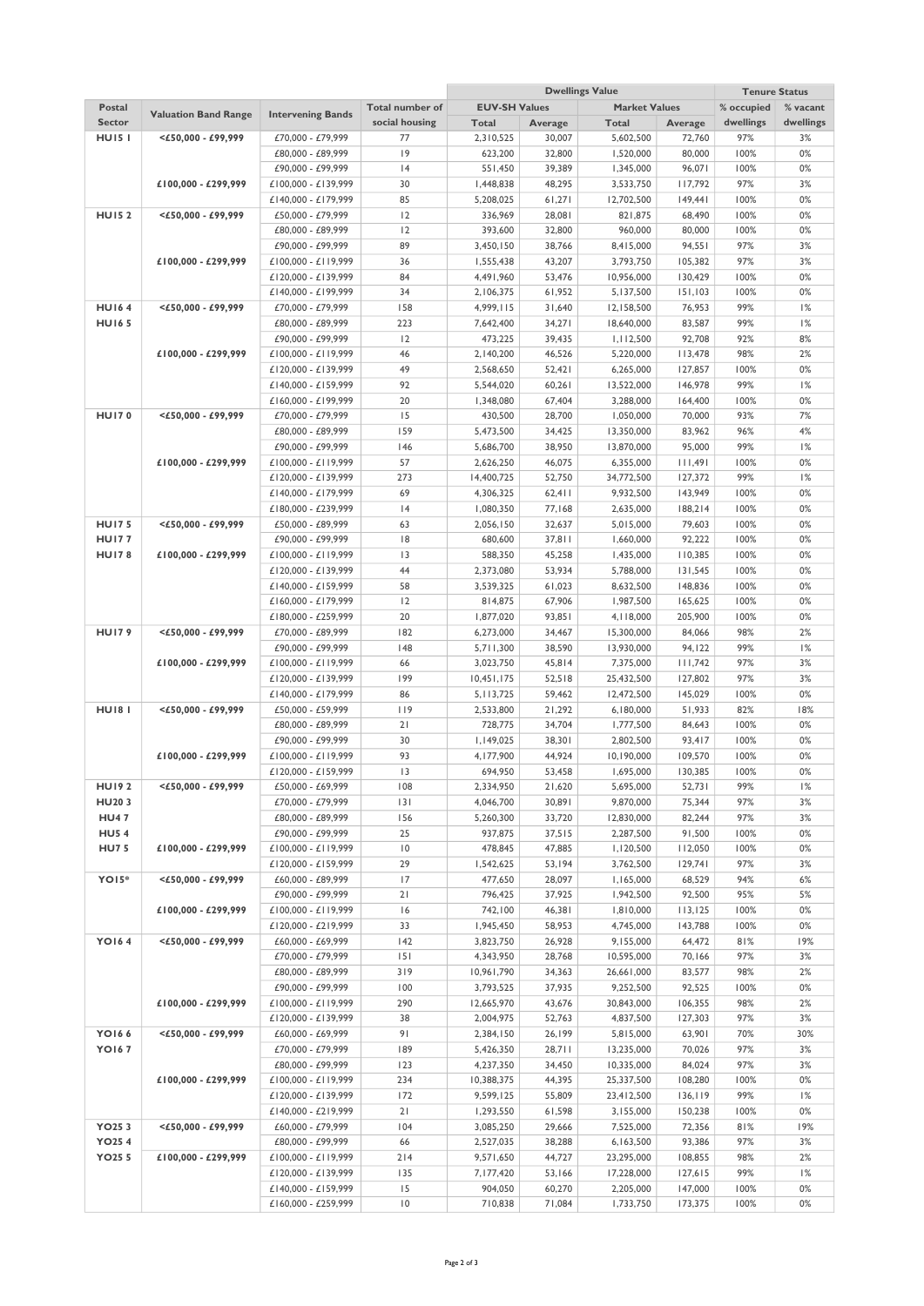|                    |                             |                                            |                 | <b>Dwellings Value</b>  |                  |                          |                    |              | <b>Tenure Status</b> |
|--------------------|-----------------------------|--------------------------------------------|-----------------|-------------------------|------------------|--------------------------|--------------------|--------------|----------------------|
| Postal             | <b>Valuation Band Range</b> | <b>Intervening Bands</b>                   | Total number of | <b>EUV-SH Values</b>    |                  | <b>Market Values</b>     |                    | % occupied   | % vacant             |
| <b>Sector</b>      |                             |                                            | social housing  | Total                   | Average          | <b>Total</b>             | Average            | dwellings    | dwellings            |
| <b>HU151</b>       | $<$ £50,000 - £99,999       | £70,000 - £79,999                          | 77              | 2,310,525               | 30,007           | 5,602,500                | 72,760             | 97%          | 3%                   |
|                    |                             | £80,000 - £89,999                          | 9               | 623,200                 | 32,800           | 1,520,000                | 80,000             | 100%         | 0%                   |
|                    |                             | £90,000 - £99,999                          | 4               | 551,450                 | 39,389           | 1,345,000                | 96,071             | 100%<br>97%  | 0%                   |
|                    | £100,000 - £299,999         | £100,000 - £139,999                        | 30<br>85        | 1,448,838<br>5,208,025  | 48,295           | 3,533,750                | 117,792            | 100%         | 3%<br>0%             |
| <b>HU152</b>       | $<$ £50,000 - £99,999       | £140,000 - £179,999<br>£50,000 - £79,999   | 12              | 336,969                 | 61,271<br>28,081 | 12,702,500<br>821,875    | 149,441<br>68,490  | 100%         | 0%                   |
|                    |                             | £80,000 - £89,999                          | 2               | 393,600                 | 32,800           | 960,000                  | 80,000             | 100%         | 0%                   |
|                    |                             | £90,000 - £99,999                          | 89              | 3,450,150               | 38,766           | 8,415,000                | 94,551             | 97%          | 3%                   |
|                    | £100,000 - £299,999         | £100,000 - £119,999                        | 36              | 1,555,438               | 43,207           | 3,793,750                | 105,382            | 97%          | 3%                   |
|                    |                             | £120,000 - £139,999                        | 84              | 4,491,960               | 53,476           | 10,956,000               | 130,429            | 100%         | 0%                   |
|                    |                             | £140,000 - £199,999                        | 34              | 2,106,375               | 61,952           | 5,137,500                | 151,103            | 100%         | 0%                   |
| <b>HU164</b>       | $<$ £50,000 - £99,999       | £70,000 - £79,999                          | 158             | 4,999,115               | 31,640           | 12,158,500               | 76,953             | 99%          | 1%                   |
| <b>HU165</b>       |                             | £80,000 - £89,999                          | 223             | 7,642,400               | 34,271           | 18,640,000               | 83,587             | 99%          | 1%                   |
|                    |                             | £90,000 - £99,999                          | 12              | 473,225                 | 39,435           | 1,112,500                | 92,708             | 92%          | 8%                   |
|                    | £100,000 - £299,999         | £100,000 - £119,999                        | 46              | 2,140,200               | 46,526           | 5,220,000                | 113,478            | 98%          | 2%                   |
|                    |                             | £120,000 - £139,999                        | 49              | 2,568,650               | 52,421           | 6,265,000                | 127,857            | 100%         | 0%                   |
|                    |                             | £140,000 - £159,999                        | 92              | 5,544,020               | 60,261           | 13,522,000               | 146,978            | 99%          | 1%                   |
|                    |                             | £160,000 - £199,999                        | 20              | 1,348,080               | 67,404           | 3,288,000                | 164,400            | 100%         | 0%                   |
| <b>HU170</b>       | $<$ £50.000 - £99.999       | £70,000 - £79,999                          | 15              | 430,500                 | 28,700           | 1,050,000                | 70,000             | 93%          | 7%                   |
|                    |                             | £80,000 - £89,999                          | 159             | 5,473,500               | 34,425           | 13,350,000               | 83,962             | 96%          | 4%                   |
|                    |                             | £90,000 - £99,999                          | 146             | 5,686,700               | 38,950           | 13,870,000               | 95,000             | 99%          | 1%                   |
|                    | £100,000 - £299,999         | £100,000 - £119,999                        | 57              | 2,626,250               | 46,075           | 6,355,000                | 111,491            | 100%         | 0%                   |
|                    |                             | £120,000 - £139,999                        | 273<br>69       | 14,400,725              | 52,750           | 34,772,500               | 127,372            | 99%<br>100%  | 1%<br>0%             |
|                    |                             | £140,000 - £179,999<br>£180,000 - £239,999 | 4               | 4,306,325<br>1,080,350  | 62,411<br>77,168 | 9,932,500<br>2,635,000   | 143,949<br>188,214 | 100%         | 0%                   |
| <b>HU175</b>       | $<$ £50,000 - £99,999       | £50,000 - £89,999                          | 63              | 2,056,150               | 32,637           | 5,015,000                | 79,603             | 100%         | 0%                   |
| <b>HU177</b>       |                             | £90,000 - £99,999                          | 8               | 680,600                 | 37,811           | 1,660,000                | 92,222             | 100%         | 0%                   |
| <b>HU178</b>       | £100,000 - £299,999         | £100,000 - £119,999                        | 3               | 588,350                 | 45,258           | 1,435,000                | 110,385            | 100%         | 0%                   |
|                    |                             | £120,000 - £139,999                        | 44              | 2,373,080               | 53,934           | 5,788,000                | 131,545            | 100%         | 0%                   |
|                    |                             | £140,000 - £159,999                        | 58              | 3,539,325               | 61,023           | 8,632,500                | 148,836            | 100%         | 0%                   |
|                    |                             | £160,000 - £179,999                        | 12              | 814,875                 | 67,906           | 1,987,500                | 165,625            | 100%         | 0%                   |
|                    |                             | £180,000 - £259,999                        | 20              | 1,877,020               | 93,851           | 4, I 18,000              | 205,900            | 100%         | 0%                   |
| <b>HU179</b>       | $<$ £50,000 - £99,999       | £70,000 - £89,999                          | 182             | 6,273,000               | 34,467           | 15,300,000               | 84,066             | 98%          | 2%                   |
|                    |                             | £90,000 - £99,999                          | 48              | 5,711,300               | 38,590           | 13,930,000               | 94,122             | 99%          | 1%                   |
|                    | £100,000 - £299,999         | £100,000 - £119,999                        | 66              | 3,023,750               | 45,814           | 7,375,000                | 111,742            | 97%          | 3%                   |
|                    |                             | £120,000 - £139,999                        | 199             | 10,451,175              | 52,518           | 25,432,500               | 127,802            | 97%          | 3%                   |
|                    |                             | £140,000 - £179,999                        | 86              | 5, 113, 725             | 59,462           | 12,472,500               | 145,029            | 100%         | 0%                   |
| <b>HU181</b>       | $<$ £50.000 - £99.999       | £50,000 - £59,999                          | 119             | 2,533,800               | 21,292           | 6,180,000                | 51,933             | 82%          | 18%                  |
|                    |                             | £80,000 - £89,999                          | 21<br>30        | 728,775                 | 34,704           | 1,777,500<br>2,802,500   | 84,643             | 100%         | $0\%$<br>0%          |
|                    | £100,000 - £299,999         | £90,000 - £99,999<br>£100,000 - £119,999   | 93              | 1,149,025<br>4,177,900  | 38,301<br>44,924 | 10,190,000               | 93,417<br>109,570  | 100%<br>100% | 0%                   |
|                    |                             | £120,000 - £159,999                        | 3               | 694,950                 | 53,458           | 1,695,000                | 130,385            | 100%         | 0%                   |
| <b>HU192</b>       | $<$ £50,000 - £99,999       | £50,000 - £69,999                          | 108             | 2,334,950               | 21,620           | 5,695,000                | 52,731             | 99%          | 1%                   |
| HU203              |                             | £70,000 - £79,999                          | 3               | 4,046,700               | 30,891           | 9,870,000                | 75,344             | 97%          | 3%                   |
| <b>HU47</b>        |                             | £80,000 - £89,999                          | 156             | 5,260,300               | 33,720           | 12,830,000               | 82,244             | 97%          | 3%                   |
| <b>HU54</b>        |                             | £90,000 - £99,999                          | 25              | 937,875                 | 37,515           | 2,287,500                | 91,500             | 100%         | 0%                   |
| <b>HU75</b>        | £100,000 - £299,999         | £100,000 - £119,999                        | $\overline{10}$ | 478,845                 | 47,885           | 1,120,500                | 112,050            | 100%         | 0%                   |
|                    |                             | £120,000 - £159,999                        | 29              | 1,542,625               | 53,194           | 3,762,500                | 129,741            | 97%          | 3%                   |
| YO <sub>15</sub> * | $<$ £50,000 - £99,999       | £60,000 - £89,999                          | 17              | 477,650                 | 28,097           | 1,165,000                | 68,529             | 94%          | 6%                   |
|                    |                             | £90,000 - £99,999                          | 21              | 796,425                 | 37,925           | 1,942,500                | 92,500             | 95%          | 5%                   |
|                    | £100,000 - £299,999         | £100,000 - £119,999                        | 16              | 742,100                 | 46,381           | 1,810,000                | 113,125            | 100%         | 0%                   |
|                    |                             | £120,000 - £219,999                        | 33              | 1,945,450               | 58,953           | 4,745,000                | 143,788            | 100%         | 0%                   |
| <b>YO164</b>       | $<$ £50,000 - £99,999       | £60,000 - £69,999                          | 142             | 3,823,750               | 26,928           | 9,155,000                | 64,472             | 81%          | 19%                  |
|                    |                             | £70,000 - £79,999<br>£80,000 - £89,999     | 151<br>319      | 4,343,950<br>10,961,790 | 28,768<br>34,363 | 10,595,000<br>26,661,000 | 70,166<br>83,577   | 97%<br>98%   | 3%<br>2%             |
|                    |                             | £90,000 - £99,999                          | 100             | 3,793,525               | 37,935           | 9,252,500                | 92,525             | 100%         | 0%                   |
|                    | £100,000 - £299,999         | £100,000 - £119,999                        | 290             | 12,665,970              | 43,676           | 30,843,000               | 106,355            | 98%          | 2%                   |
|                    |                             | £120,000 - £139,999                        | 38              | 2,004,975               | 52,763           | 4,837,500                | 127,303            | 97%          | 3%                   |
| <b>YO166</b>       | $<$ £50,000 - £99,999       | £60,000 - £69,999                          | 91              | 2,384,150               | 26,199           | 5,815,000                | 63,901             | 70%          | 30%                  |
| <b>YO167</b>       |                             | £70,000 - £79,999                          | 189             | 5,426,350               | 28,711           | 13,235,000               | 70,026             | 97%          | 3%                   |
|                    |                             | £80,000 - £99,999                          | 123             | 4,237,350               | 34,450           | 10,335,000               | 84,024             | 97%          | 3%                   |
|                    | £100,000 - £299,999         | £100,000 - £119,999                        | 234             | 10,388,375              | 44,395           | 25,337,500               | 108,280            | 100%         | 0%                   |
|                    |                             | £120,000 - £139,999                        | 172             | 9,599,125               | 55,809           | 23,412,500               | 136, 119           | 99%          | 1%                   |
|                    |                             | £140,000 - £219,999                        | 21              | 1,293,550               | 61,598           | 3,155,000                | 150,238            | 100%         | 0%                   |
| YO253              | $<$ £50,000 - £99,999       | £60,000 - £79,999                          | 104             | 3,085,250               | 29,666           | 7,525,000                | 72,356             | 81%          | 19%                  |
| <b>YO254</b>       |                             | £80,000 - £99,999                          | 66              | 2,527,035               | 38,288           | 6,163,500                | 93,386             | 97%          | 3%                   |
| <b>YO25 5</b>      | £100,000 - £299,999         | £100,000 - £119,999                        | 214             | 9,571,650               | 44,727           | 23,295,000               | 108,855            | 98%          | 2%                   |
|                    |                             | £120,000 - £139,999                        | 135             | 7,177,420               | 53,166           | 17,228,000               | 127,615            | 99%          | 1%                   |
|                    |                             | £140,000 - £159,999                        | 15              | 904,050                 | 60,270           | 2,205,000                | 147,000            | 100%         | 0%                   |
|                    |                             | £160,000 - £259,999                        | $\overline{10}$ | 710,838                 | 71,084           | 1,733,750                | 173,375            | 100%         | 0%                   |